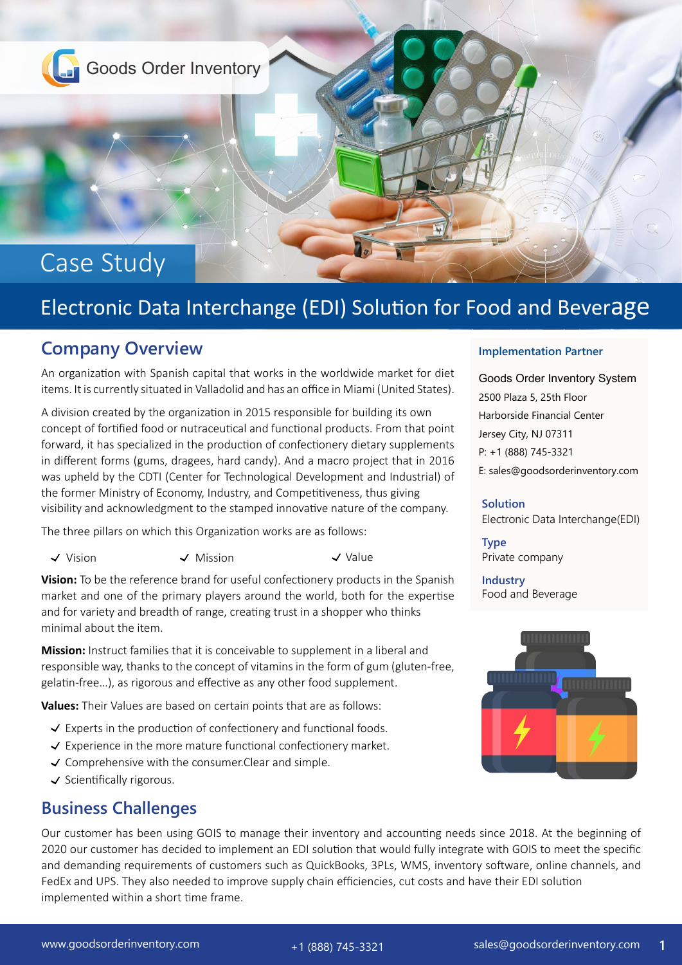

# Electronic Data Interchange (EDI) Solution for Food and Beverage

# **Company Overview**

An organization with Spanish capital that works in the worldwide market for diet items. It is currently situated in Valladolid and has an office in Miami (United States).

A division created by the organization in 2015 responsible for building its own concept of fortified food or nutraceutical and functional products. From that point forward, it has specialized in the production of confectionery dietary supplements in different forms (gums, dragees, hard candy). And a macro project that in 2016 was upheld by the CDTI (Center for Technological Development and Industrial) of the former Ministry of Economy, Industry, and Competitiveness, thus giving visibility and acknowledgment to the stamped innovative nature of the company.

The three pillars on which this Organization works are as follows:

 $\checkmark$  Vision  $\checkmark$  Mission  $\checkmark$  Value

**Vision:** To be the reference brand for useful confectionery products in the Spanish market and one of the primary players around the world, both for the expertise and for variety and breadth of range, creating trust in a shopper who thinks minimal about the item.

**Mission:** Instruct families that it is conceivable to supplement in a liberal and responsible way, thanks to the concept of vitamins in the form of gum (gluten-free, gelatin-free…), as rigorous and effective as any other food supplement.

**Values:** Their Values are based on certain points that are as follows:

- $\checkmark$  Experts in the production of confectionery and functional foods.
- $\checkmark$  Experience in the more mature functional confectionery market.
- $\checkmark$  Comprehensive with the consumer. Clear and simple.
- $\checkmark$  Scientifically rigorous.

# **Business Challenges**

#### **Implementation Partner**

Goods Order Inventory System 2500 Plaza 5, 25th Floor Harborside Financial Center Jersey City, NJ 07311 P: +1 (888) 745-3321 E: sales@goodsorderinventory.com

#### **Solution**

Electronic Data Interchange(EDI)

**Type** Private company

**Industry** Food and Beverage



Our customer has been using GOIS to manage their inventory and accounting needs since 2018. At the beginning of 2020 our customer has decided to implement an EDI solution that would fully integrate with GOIS to meet the specific and demanding requirements of customers such as QuickBooks, 3PLs, WMS, inventory software, online channels, and FedEx and UPS. They also needed to improve supply chain efficiencies, cut costs and have their EDI solution implemented within a short time frame.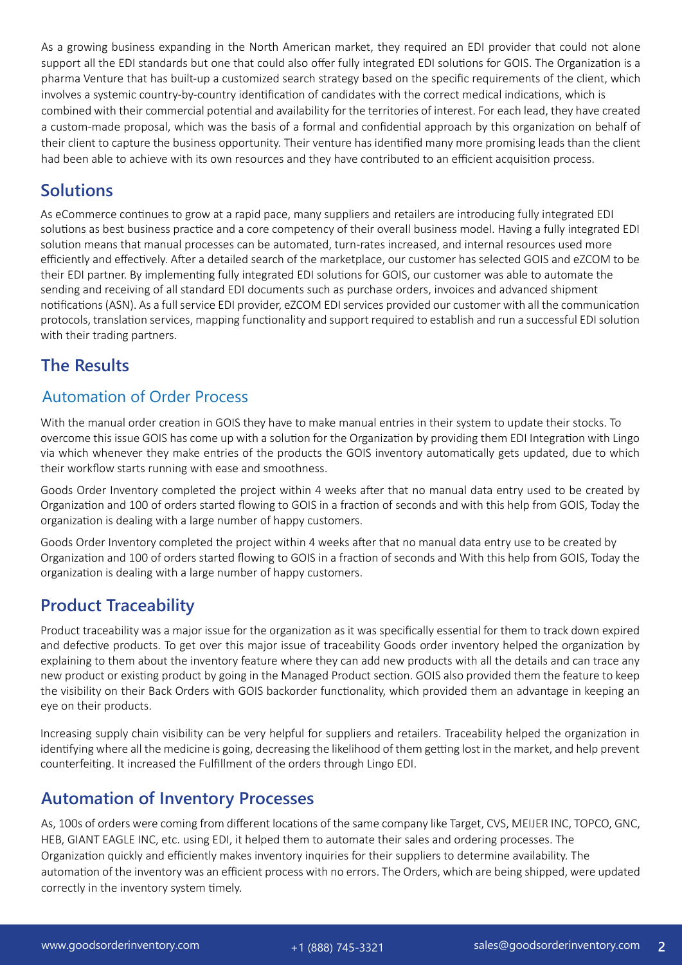As a growing business expanding in the North American market, they required an EDI provider that could not alone support all the EDI standards but one that could also offer fully integrated EDI solutions for GOIS. The Organization is a pharma Venture that has built-up a customized search strategy based on the specific requirements of the client, which involves a systemic country-by-country identification of candidates with the correct medical indications, which is combined with their commercial potential and availability for the territories of interest. For each lead, they have created a custom-made proposal, which was the basis of a formal and confidential approach by this organization on behalf of their client to capture the business opportunity. Their venture has identified many more promising leads than the client had been able to achieve with its own resources and they have contributed to an efficient acquisition process.

#### **Solutions**

As eCommerce continues to grow at a rapid pace, many suppliers and retailers are introducing fully integrated EDI solutions as best business practice and a core competency of their overall business model. Having a fully integrated EDI solution means that manual processes can be automated, turn-rates increased, and internal resources used more efficiently and effectively. After a detailed search of the marketplace, our customer has selected GOIS and eZCOM to be their EDI partner. By implementing fully integrated EDI solutions for GOIS, our customer was able to automate the sending and receiving of all standard EDI documents such as purchase orders, invoices and advanced shipment notifications (ASN). As a full service EDI provider, eZCOM EDI services provided our customer with all the communication protocols, translation services, mapping functionality and support required to establish and run a successful EDI solution with their trading partners.

# **The Results**

#### Automation of Order Process

With the manual order creation in GOIS they have to make manual entries in their system to update their stocks. To overcome this issue GOIS has come up with a solution for the Organization by providing them EDI Integration with Lingo via which whenever they make entries of the products the GOIS inventory automatically gets updated, due to which their workflow starts running with ease and smoothness.

Goods Order Inventory completed the project within 4 weeks after that no manual data entry used to be created by Organization and 100 of orders started flowing to GOIS in a fraction of seconds and with this help from GOIS, Today the organization is dealing with a large number of happy customers.

Goods Order Inventory completed the project within 4 weeks after that no manual data entry use to be created by Organization and 100 of orders started flowing to GOIS in a fraction of seconds and With this help from GOIS, Today the organization is dealing with a large number of happy customers.

# **Product Traceability**

Product traceability was a major issue for the organization as it was specifically essential for them to track down expired and defective products. To get over this major issue of traceability Goods order inventory helped the organization by explaining to them about the inventory feature where they can add new products with all the details and can trace any new product or existing product by going in the Managed Product section. GOIS also provided them the feature to keep the visibility on their Back Orders with GOIS backorder functionality, which provided them an advantage in keeping an eye on their products.

Increasing supply chain visibility can be very helpful for suppliers and retailers. Traceability helped the organization in identifying where all the medicine is going, decreasing the likelihood of them getting lost in the market, and help prevent counterfeiting. It increased the Fulfillment of the orders through Lingo EDI.

# **Automation of Inventory Processes**

As, 100s of orders were coming from different locations of the same company like Target, CVS, MEIJER INC, TOPCO, GNC, HEB, GIANT EAGLE INC, etc. using EDI, it helped them to automate their sales and ordering processes. The Organization quickly and efficiently makes inventory inquiries for their suppliers to determine availability. The automation of the inventory was an efficient process with no errors. The Orders, which are being shipped, were updated correctly in the inventory system timely.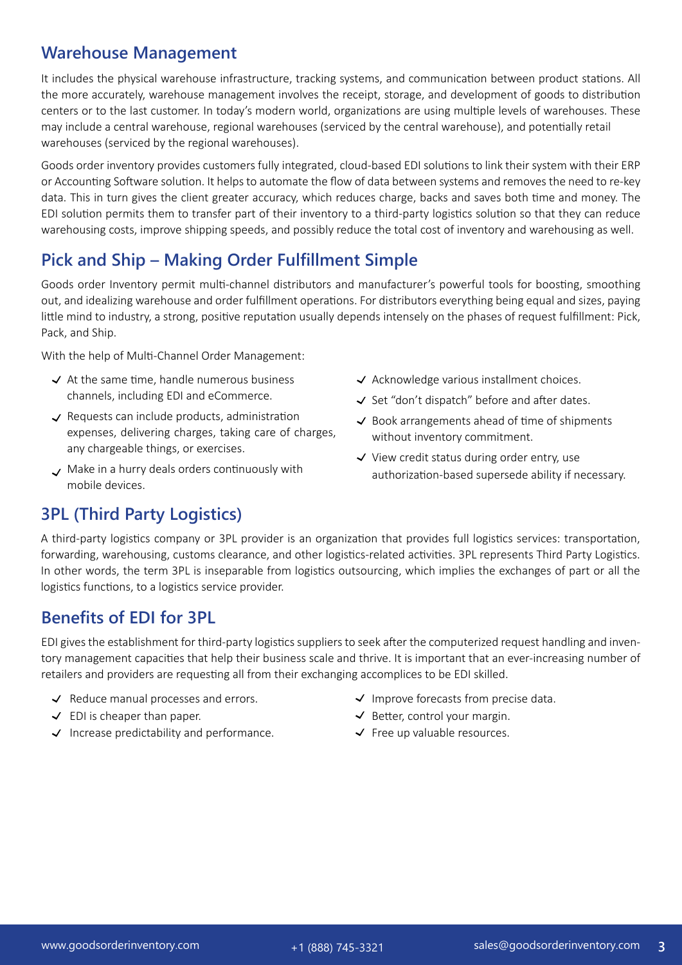#### **Warehouse Management**

It includes the physical warehouse infrastructure, tracking systems, and communication between product stations. All the more accurately, warehouse management involves the receipt, storage, and development of goods to distribution centers or to the last customer. In today's modern world, organizations are using multiple levels of warehouses. These may include a central warehouse, regional warehouses (serviced by the central warehouse), and potentially retail warehouses (serviced by the regional warehouses).

Goods order inventory provides customers fully integrated, cloud-based EDI solutions to link their system with their ERP or Accounting Software solution. It helps to automate the flow of data between systems and removes the need to re-key data. This in turn gives the client greater accuracy, which reduces charge, backs and saves both time and money. The EDI solution permits them to transfer part of their inventory to a third-party logistics solution so that they can reduce warehousing costs, improve shipping speeds, and possibly reduce the total cost of inventory and warehousing as well.

# **Pick and Ship – Making Order Fulfillment Simple**

Goods order Inventory permit multi-channel distributors and manufacturer's powerful tools for boosting, smoothing out, and idealizing warehouse and order fulfillment operations. For distributors everything being equal and sizes, paying little mind to industry, a strong, positive reputation usually depends intensely on the phases of request fulfillment: Pick, Pack, and Ship.

With the help of Multi-Channel Order Management:

- $\prec$  At the same time, handle numerous business channels, including EDI and eCommerce.
- $\checkmark$  Requests can include products, administration expenses, delivering charges, taking care of charges, any chargeable things, or exercises.
- $\backsim$  Make in a hurry deals orders continuously with mobile devices.
- $\checkmark$  Acknowledge various installment choices.
- $\checkmark$  Set "don't dispatch" before and after dates.
- $\checkmark$  Book arrangements ahead of time of shipments without inventory commitment.
- $\checkmark$  View credit status during order entry, use authorization-based supersede ability if necessary.

# **3PL (Third Party Logistics)**

A third-party logistics company or 3PL provider is an organization that provides full logistics services: transportation, forwarding, warehousing, customs clearance, and other logistics-related activities. 3PL represents Third Party Logistics. In other words, the term 3PL is inseparable from logistics outsourcing, which implies the exchanges of part or all the logistics functions, to a logistics service provider.

#### **Benefits of EDI for 3PL**

EDI gives the establishment for third-party logistics suppliers to seek after the computerized request handling and inventory management capacities that help their business scale and thrive. It is important that an ever-increasing number of retailers and providers are requesting all from their exchanging accomplices to be EDI skilled.

- $\checkmark$  Reduce manual processes and errors.
- $\checkmark$  EDI is cheaper than paper.
- $\checkmark$  Increase predictability and performance.
- $\checkmark$  Improve forecasts from precise data.
- $\checkmark$  Better, control your margin.
- $\checkmark$  Free up valuable resources.